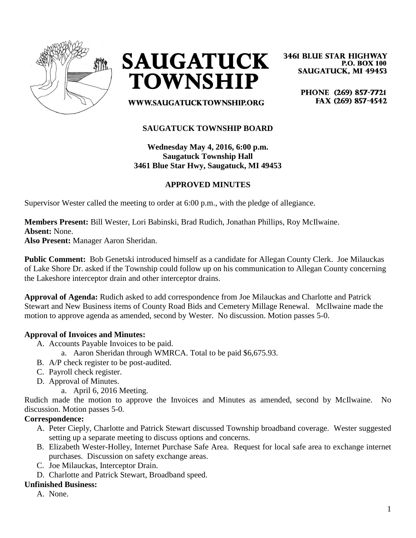



**3461 BLUE STAR HIGHWAY P.O. BOX 100 SAUGATUCK, MI 49453** 

> PHONE (269) 857-7721 FAX (269) 857-4542

**WWW.SAUGATUCKTOWNSHIP.ORG** 

## **SAUGATUCK TOWNSHIP BOARD**

**Wednesday May 4, 2016, 6:00 p.m. Saugatuck Township Hall 3461 Blue Star Hwy, Saugatuck, MI 49453**

## **APPROVED MINUTES**

Supervisor Wester called the meeting to order at 6:00 p.m., with the pledge of allegiance.

**Members Present:** Bill Wester, Lori Babinski, Brad Rudich, Jonathan Phillips, Roy McIlwaine. **Absent:** None.

**Also Present:** Manager Aaron Sheridan.

**Public Comment:** Bob Genetski introduced himself as a candidate for Allegan County Clerk. Joe Milauckas of Lake Shore Dr. asked if the Township could follow up on his communication to Allegan County concerning the Lakeshore interceptor drain and other interceptor drains.

**Approval of Agenda:** Rudich asked to add correspondence from Joe Milauckas and Charlotte and Patrick Stewart and New Business items of County Road Bids and Cemetery Millage Renewal. McIlwaine made the motion to approve agenda as amended, second by Wester. No discussion. Motion passes 5-0.

### **Approval of Invoices and Minutes:**

- A. Accounts Payable Invoices to be paid.
	- a. Aaron Sheridan through WMRCA. Total to be paid \$6,675.93.
- B. A/P check register to be post-audited.
- C. Payroll check register.
- D. Approval of Minutes.
	- a. April 6, 2016 Meeting.

Rudich made the motion to approve the Invoices and Minutes as amended, second by McIlwaine. No discussion. Motion passes 5-0.

### **Correspondence:**

- A. Peter Cieply, Charlotte and Patrick Stewart discussed Township broadband coverage. Wester suggested setting up a separate meeting to discuss options and concerns.
- B. Elizabeth Wester-Holley, Internet Purchase Safe Area. Request for local safe area to exchange internet purchases. Discussion on safety exchange areas.
- C. Joe Milauckas, Interceptor Drain.
- D. Charlotte and Patrick Stewart, Broadband speed.

### **Unfinished Business:**

A. None.